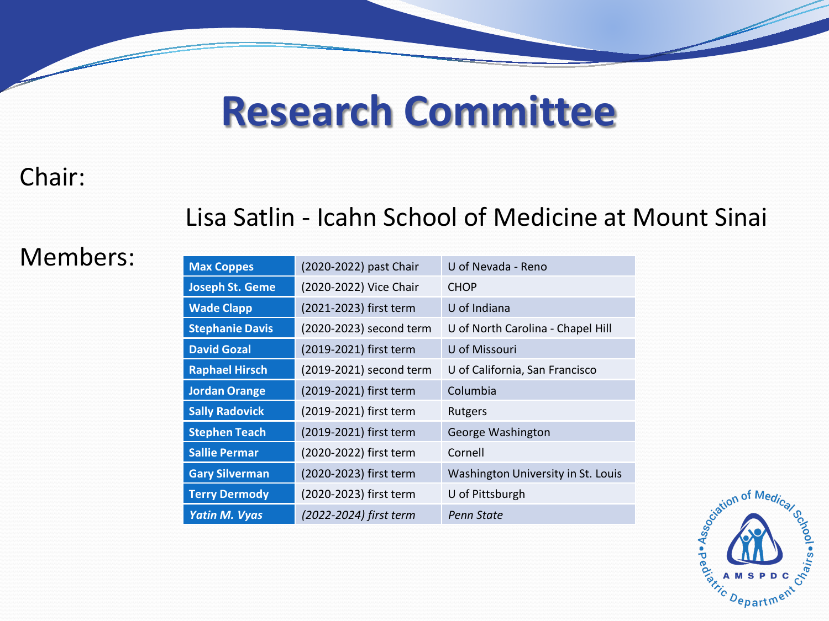## **Research Committee**

## Chair:

## Lisa Satlin - Icahn School of Medicine at Mount Sinai

### **Members:**

| <b>Max Coppes</b>      | (2020-2022) past Chair  | U of Nevada - Reno                 |
|------------------------|-------------------------|------------------------------------|
| <b>Joseph St. Geme</b> | (2020-2022) Vice Chair  | <b>CHOP</b>                        |
| <b>Wade Clapp</b>      | (2021-2023) first term  | U of Indiana                       |
| <b>Stephanie Davis</b> | (2020-2023) second term | U of North Carolina - Chapel Hill  |
| <b>David Gozal</b>     | (2019-2021) first term  | U of Missouri                      |
| <b>Raphael Hirsch</b>  | (2019-2021) second term | U of California, San Francisco     |
| <b>Jordan Orange</b>   | (2019-2021) first term  | Columbia                           |
| <b>Sally Radovick</b>  | (2019-2021) first term  | Rutgers                            |
| <b>Stephen Teach</b>   | (2019-2021) first term  | George Washington                  |
| <b>Sallie Permar</b>   | (2020-2022) first term  | Cornell                            |
| <b>Gary Silverman</b>  | (2020-2023) first term  | Washington University in St. Louis |
| <b>Terry Dermody</b>   | (2020-2023) first term  | U of Pittsburgh                    |
| <b>Yatin M. Vyas</b>   | (2022-2024) first term  | Penn State                         |

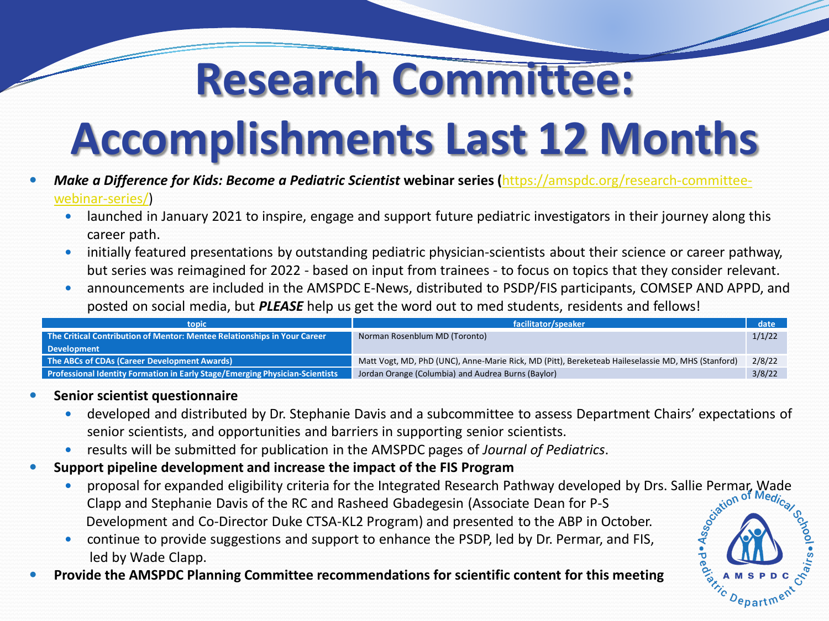## **Research Committee:**

# **Accomplishments Last 12 Months**

- *[Make a Difference for Kids: Become a Pediatric Scientist](https://amspdc.org/research-committee-webinar-series/)* **webinar series (**https://amspdc.org/research-committeewebinar-series/)
	- launched in January 2021 to inspire, engage and support future pediatric investigators in their journey along this career path.
	- initially featured presentations by outstanding pediatric physician-scientists about their science or career pathway, but series was reimagined for 2022 - based on input from trainees - to focus on topics that they consider relevant.
	- announcements are included in the AMSPDC E-News, distributed to PSDP/FIS participants, COMSEP AND APPD, and posted on social media, but *PLEASE* help us get the word out to med students, residents and fellows!

| topic                                                                        | facilitator/speaker                                                                               | date   |
|------------------------------------------------------------------------------|---------------------------------------------------------------------------------------------------|--------|
| The Critical Contribution of Mentor: Mentee Relationships in Your Career     | Norman Rosenblum MD (Toronto)                                                                     | 1/1/22 |
| <b>Development</b>                                                           |                                                                                                   |        |
| The ABCs of CDAs (Career Development Awards)                                 | Matt Vogt, MD, PhD (UNC), Anne-Marie Rick, MD (Pitt), Bereketeab Haileselassie MD, MHS (Stanford) | 2/8/22 |
| Professional Identity Formation in Early Stage/Emerging Physician-Scientists | Jordan Orange (Columbia) and Audrea Burns (Baylor)                                                | 3/8/22 |

#### **Senior scientist questionnaire**

- developed and distributed by Dr. Stephanie Davis and a subcommittee to assess Department Chairs' expectations of senior scientists, and opportunities and barriers in supporting senior scientists.
- results will be submitted for publication in the AMSPDC pages of *Journal of Pediatrics*.

#### **Support pipeline development and increase the impact of the FIS Program**

proposal for expanded eligibility criteria for the Integrated Research Pathway developed by Drs. Sallie Permar, Wade<br>Clapp and Stephanie Davis of the RC and Rasheed Gbadegesin (Associate Dean for P-S<br>Development and Co-Dir Clapp and Stephanie Davis of the RC and Rasheed Gbadegesin (Associate Dean for P-S Development and Co-Director Duke CTSA-KL2 Program) and presented to the ABP in October.

Departm

- continue to provide suggestions and support to enhance the PSDP, led by Dr. Permar, and FIS, led by Wade Clapp.
- **Provide the AMSPDC Planning Committee recommendations for scientific content for this meeting**